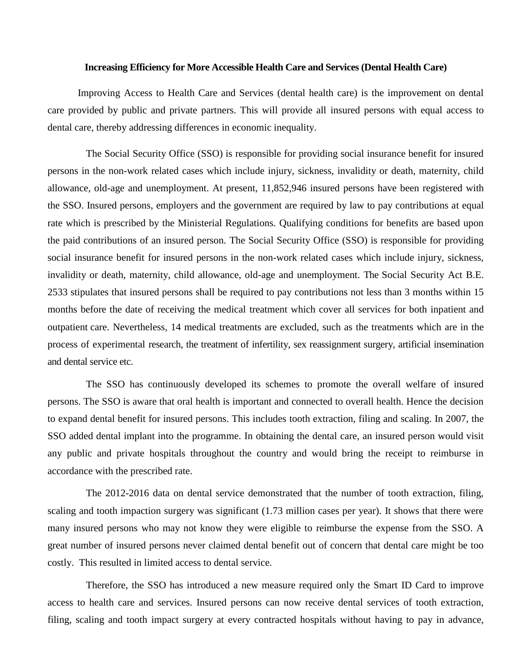## **Increasing Efficiency for More Accessible Health Care and Services (Dental Health Care)**

Improving Access to Health Care and Services (dental health care) is the improvement on dental care provided by public and private partners. This will provide all insured persons with equal access to dental care, thereby addressing differences in economic inequality.

The Social Security Office (SSO) is responsible for providing social insurance benefit for insured persons in the non-work related cases which include injury, sickness, invalidity or death, maternity, child allowance, old-age and unemployment. At present, 11,852,946 insured persons have been registered with the SSO. Insured persons, employers and the government are required by law to pay contributions at equal rate which is prescribed by the Ministerial Regulations. Qualifying conditions for benefits are based upon the paid contributions of an insured person. The Social Security Office (SSO) is responsible for providing social insurance benefit for insured persons in the non-work related cases which include injury, sickness, invalidity or death, maternity, child allowance, old-age and unemployment. The Social Security Act B.E. 2533 stipulates that insured persons shall be required to pay contributions not less than 3 months within 15 months before the date of receiving the medical treatment which cover all services for both inpatient and outpatient care. Nevertheless, 14 medical treatments are excluded, such as the treatments which are in the process of experimental research, the treatment of infertility, sex reassignment surgery, artificial insemination and dental service etc.

The SSO has continuously developed its schemes to promote the overall welfare of insured persons. The SSO is aware that oral health is important and connected to overall health. Hence the decision to expand dental benefit for insured persons. This includes tooth extraction, filing and scaling. In 2007, the SSO added dental implant into the programme. In obtaining the dental care, an insured person would visit any public and private hospitals throughout the country and would bring the receipt to reimburse in accordance with the prescribed rate.

The 2012-2016 data on dental service demonstrated that the number of tooth extraction, filing, scaling and tooth impaction surgery was significant (1.73 million cases per year). It shows that there were many insured persons who may not know they were eligible to reimburse the expense from the SSO. A great number of insured persons never claimed dental benefit out of concern that dental care might be too costly. This resulted in limited access to dental service.

Therefore, the SSO has introduced a new measure required only the Smart ID Card to improve access to health care and services. Insured persons can now receive dental services of tooth extraction, filing, scaling and tooth impact surgery at every contracted hospitals without having to pay in advance,